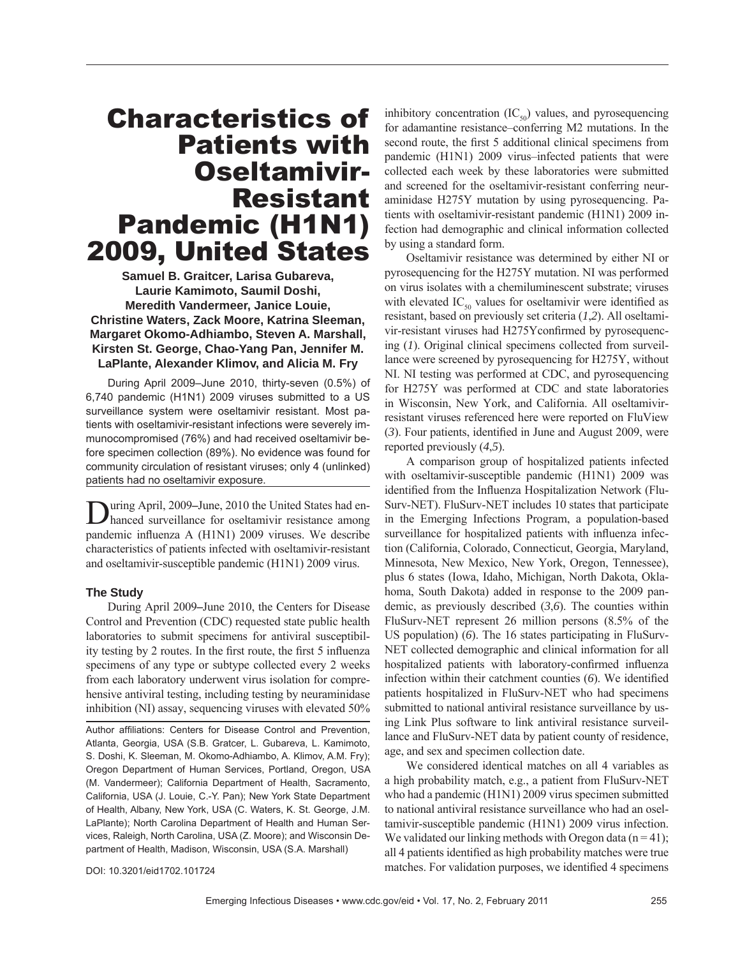# Characteristics of Patients with Oseltamivir-Resistant Pandemic (H1N1) 2009, United States

**Samuel B. Graitcer, Larisa Gubareva, Laurie Kamimoto, Saumil Doshi, Meredith Vandermeer, Janice Louie, Christine Waters, Zack Moore, Katrina Sleeman, Margaret Okomo-Adhiambo, Steven A. Marshall, Kirsten St. George, Chao-Yang Pan, Jennifer M. LaPlante, Alexander Klimov, and Alicia M. Fry**

During April 2009–June 2010, thirty-seven (0.5%) of 6,740 pandemic (H1N1) 2009 viruses submitted to a US surveillance system were oseltamivir resistant. Most patients with oseltamivir-resistant infections were severely immunocompromised (76%) and had received oseltamivir before specimen collection (89%). No evidence was found for community circulation of resistant viruses; only 4 (unlinked) patients had no oseltamivir exposure.

uring April, 2009–June, 2010 the United States had enhanced surveillance for oseltamivir resistance among pandemic influenza A (H1N1) 2009 viruses. We describe characteristics of patients infected with oseltamivir-resistant and oseltamivir-susceptible pandemic (H1N1) 2009 virus.

## **The Study**

During April 2009**–**June 2010, the Centers for Disease Control and Prevention (CDC) requested state public health laboratories to submit specimens for antiviral susceptibility testing by 2 routes. In the first route, the first 5 influenza specimens of any type or subtype collected every 2 weeks from each laboratory underwent virus isolation for comprehensive antiviral testing, including testing by neuraminidase inhibition (NI) assay, sequencing viruses with elevated 50%

Author affiliations: Centers for Disease Control and Prevention, Atlanta, Georgia, USA (S.B. Gratcer, L. Gubareva, L. Kamimoto, S. Doshi, K. Sleeman, M. Okomo-Adhiambo, A. Klimov, A.M. Fry); Oregon Department of Human Services, Portland, Oregon, USA (M. Vandermeer); California Department of Health, Sacramento, California, USA (J. Louie, C.-Y. Pan); New York State Department of Health, Albany, New York, USA (C. Waters, K. St. George, J.M. LaPlante); North Carolina Department of Health and Human Services, Raleigh, North Carolina, USA (Z. Moore); and Wisconsin Department of Health, Madison, Wisconsin, USA (S.A. Marshall)

inhibitory concentration  $(IC_{50})$  values, and pyrosequencing for adamantine resistance–conferring M2 mutations. In the second route, the first 5 additional clinical specimens from pandemic (H1N1) 2009 virus–infected patients that were collected each week by these laboratories were submitted and screened for the oseltamivir-resistant conferring neuraminidase H275Y mutation by using pyrosequencing. Patients with oseltamivir-resistant pandemic (H1N1) 2009 infection had demographic and clinical information collected by using a standard form.

Oseltamivir resistance was determined by either NI or pyrosequencing for the H275Y mutation. NI was performed on virus isolates with a chemiluminescent substrate; viruses with elevated  $IC_{50}$  values for oseltamivir were identified as resistant, based on previously set criteria (*1*,*2*). All oseltamivir-resistant viruses had H275Y confirmed by pyrosequencing (*1*). Original clinical specimens collected from surveillance were screened by pyrosequencing for H275Y, without NI. NI testing was performed at CDC, and pyrosequencing for H275Y was performed at CDC and state laboratories in Wisconsin, New York, and California. All oseltamivirresistant viruses referenced here were reported on FluView (3). Four patients, identified in June and August 2009, were reported previously (*4*,*5*).

A comparison group of hospitalized patients infected with oseltamivir-susceptible pandemic (H1N1) 2009 was identified from the Influenza Hospitalization Network (Flu-Surv-NET). FluSurv-NET includes 10 states that participate in the Emerging Infections Program, a population-based surveillance for hospitalized patients with influenza infection (California, Colorado, Connecticut, Georgia, Maryland, Minnesota, New Mexico, New York, Oregon, Tennessee), plus 6 states (Iowa, Idaho, Michigan, North Dakota, Oklahoma, South Dakota) added in response to the 2009 pandemic, as previously described (*3*,*6*). The counties within FluSurv-NET represent 26 million persons (8.5% of the US population) (*6*). The 16 states participating in FluSurv-NET collected demographic and clinical information for all hospitalized patients with laboratory-confirmed influenza infection within their catchment counties  $(6)$ . We identified patients hospitalized in FluSurv-NET who had specimens submitted to national antiviral resistance surveillance by using Link Plus software to link antiviral resistance surveillance and FluSurv-NET data by patient county of residence, age, and sex and specimen collection date.

We considered identical matches on all 4 variables as a high probability match, e.g., a patient from FluSurv-NET who had a pandemic (H1N1) 2009 virus specimen submitted to national antiviral resistance surveillance who had an oseltamivir-susceptible pandemic (H1N1) 2009 virus infection. We validated our linking methods with Oregon data  $(n = 41)$ ; all 4 patients identified as high probability matches were true matches. For validation purposes, we identified 4 specimens

DOI: 10.3201/eid1702.101724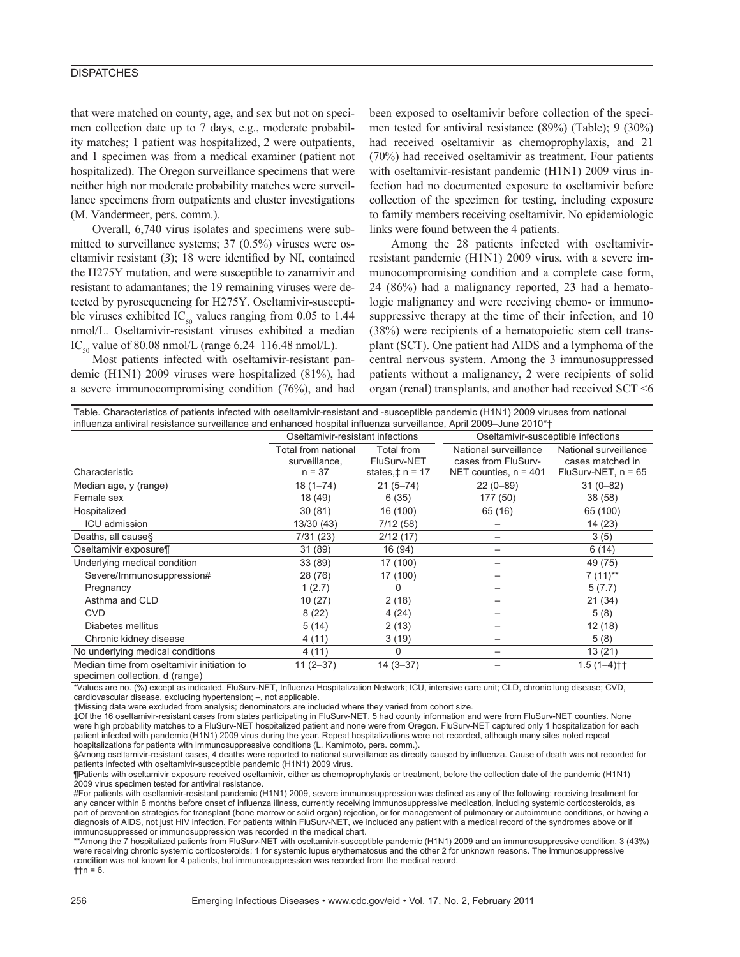## **DISPATCHES**

that were matched on county, age, and sex but not on specimen collection date up to 7 days, e.g., moderate probability matches; 1 patient was hospitalized, 2 were outpatients, and 1 specimen was from a medical examiner (patient not hospitalized). The Oregon surveillance specimens that were neither high nor moderate probability matches were surveillance specimens from outpatients and cluster investigations (M. Vandermeer, pers. comm.).

Overall, 6,740 virus isolates and specimens were submitted to surveillance systems; 37 (0.5%) viruses were oseltamivir resistant  $(3)$ ; 18 were identified by NI, contained the H275Y mutation, and were susceptible to zanamivir and resistant to adamantanes; the 19 remaining viruses were detected by pyrosequencing for H275Y. Oseltamivir-susceptible viruses exhibited IC<sub>50</sub> values ranging from 0.05 to 1.44 nmol/L. Oseltamivir-resistant viruses exhibited a median IC<sub>50</sub> value of 80.08 nmol/L (range 6.24–116.48 nmol/L).

Most patients infected with oseltamivir-resistant pandemic (H1N1) 2009 viruses were hospitalized (81%), had a severe immunocompromising condition (76%), and had

been exposed to oseltamivir before collection of the specimen tested for antiviral resistance (89%) (Table); 9 (30%) had received oseltamivir as chemoprophylaxis, and 21 (70%) had received oseltamivir as treatment. Four patients with oseltamivir-resistant pandemic (H1N1) 2009 virus infection had no documented exposure to oseltamivir before collection of the specimen for testing, including exposure to family members receiving oseltamivir. No epidemiologic links were found between the 4 patients.

Among the 28 patients infected with oseltamivirresistant pandemic (H1N1) 2009 virus, with a severe immunocompromising condition and a complete case form, 24 (86%) had a malignancy reported, 23 had a hematologic malignancy and were receiving chemo- or immunosuppressive therapy at the time of their infection, and 10 (38%) were recipients of a hematopoietic stem cell transplant (SCT). One patient had AIDS and a lymphoma of the central nervous system. Among the 3 immunosuppressed patients without a malignancy, 2 were recipients of solid organ (renal) transplants, and another had received SCT <6

| Table. Characteristics of patients infected with oseltamivir-resistant and -susceptible pandemic (H1N1) 2009 viruses from national<br>influenza antiviral resistance surveillance and enhanced hospital influenza surveillance, April 2009–June 2010*† |                                                  |                                                   |                                                                         |                                                                    |
|--------------------------------------------------------------------------------------------------------------------------------------------------------------------------------------------------------------------------------------------------------|--------------------------------------------------|---------------------------------------------------|-------------------------------------------------------------------------|--------------------------------------------------------------------|
|                                                                                                                                                                                                                                                        | Oseltamivir-resistant infections                 |                                                   | Oseltamivir-susceptible infections                                      |                                                                    |
| Characteristic                                                                                                                                                                                                                                         | Total from national<br>surveillance,<br>$n = 37$ | Total from<br>FluSurv-NET<br>states, $\pm$ n = 17 | National surveillance<br>cases from FluSurv-<br>NET counties, $n = 401$ | National surveillance<br>cases matched in<br>FluSurv-NET, $n = 65$ |
| Median age, y (range)                                                                                                                                                                                                                                  | $18(1 - 74)$                                     | $21(5 - 74)$                                      | $22(0-89)$                                                              | $31(0-82)$                                                         |
| Female sex                                                                                                                                                                                                                                             | 18 (49)                                          | 6(35)                                             | 177 (50)                                                                | 38 (58)                                                            |
| Hospitalized                                                                                                                                                                                                                                           | 30(81)                                           | 16 (100)                                          | 65 (16)                                                                 | 65 (100)                                                           |
| <b>ICU</b> admission                                                                                                                                                                                                                                   | 13/30 (43)                                       | 7/12(58)                                          |                                                                         | 14 (23)                                                            |
| Deaths, all causes                                                                                                                                                                                                                                     | 7/31(23)                                         | 2/12(17)                                          |                                                                         | 3(5)                                                               |
| Oseltamivir exposure¶                                                                                                                                                                                                                                  | 31 (89)                                          | 16 (94)                                           |                                                                         | 6(14)                                                              |
| Underlying medical condition                                                                                                                                                                                                                           | 33 (89)                                          | 17 (100)                                          |                                                                         | 49 (75)                                                            |
| Severe/Immunosuppression#                                                                                                                                                                                                                              | 28 (76)                                          | 17 (100)                                          |                                                                         | $7(11)$ **                                                         |
| Pregnancy                                                                                                                                                                                                                                              | 1(2.7)                                           | 0                                                 |                                                                         | 5(7.7)                                                             |
| Asthma and CLD                                                                                                                                                                                                                                         | 10 (27)                                          | 2(18)                                             |                                                                         | 21(34)                                                             |
| <b>CVD</b>                                                                                                                                                                                                                                             | 8(22)                                            | 4(24)                                             |                                                                         | 5(8)                                                               |
| Diabetes mellitus                                                                                                                                                                                                                                      | 5(14)                                            | 2(13)                                             |                                                                         | 12 (18)                                                            |
| Chronic kidney disease                                                                                                                                                                                                                                 | 4(11)                                            | 3(19)                                             |                                                                         | 5(8)                                                               |
| No underlying medical conditions                                                                                                                                                                                                                       | 4 (11)                                           | 0                                                 |                                                                         | 13(21)                                                             |
| Median time from oseltamivir initiation to<br>المسموم المسمئلة والموسومين والمتحدث                                                                                                                                                                     | $11(2-37)$                                       | $14(3-37)$                                        |                                                                         | $1.5(1-4)$ <sup>++</sup>                                           |

specimen collection, d (range)

\*Values are no. (%) except as indicated. FluSurv-NET, Influenza Hospitalization Network; ICU, intensive care unit; CLD, chronic lung disease; CVD, cardiovascular disease, excluding hypertension; –, not applicable.

†Missing data were excluded from analysis; denominators are included where they varied from cohort size.

‡Of the 16 oseltamivir-resistant cases from states participating in FluSurv-NET, 5 had county information and were from FluSurv-NET counties. None were high probability matches to a FluSurv-NET hospitalized patient and none were from Oregon. FluSurv-NET captured only 1 hospitalization for each patient infected with pandemic (H1N1) 2009 virus during the year. Repeat hospitalizations were not recorded, although many sites noted repeat hospitalizations for patients with immunosuppressive conditions (L. Kamimoto, pers. comm.).

§Among oseltamivir-resistant cases, 4 deaths were reported to national surveillance as directly caused by influenza. Cause of death was not recorded for patients infected with oseltamivir-susceptible pandemic (H1N1) 2009 virus.

¶Patients with oseltamivir exposure received oseltamivir, either as chemoprophylaxis or treatment, before the collection date of the pandemic (H1N1) 2009 virus specimen tested for antiviral resistance.

#For patients with oseltamivir-resistant pandemic (H1N1) 2009, severe immunosuppression was defined as any of the following: receiving treatment for any cancer within 6 months before onset of influenza illness, currently receiving immunosuppressive medication, including systemic corticosteroids, as part of prevention strategies for transplant (bone marrow or solid organ) rejection, or for management of pulmonary or autoimmune conditions, or having a diagnosis of AIDS, not just HIV infection. For patients within FluSurv-NET, we included any patient with a medical record of the syndromes above or if immunosuppressed or immunosuppression was recorded in the medical chart.

\*\*Among the 7 hospitalized patients from FluSurv-NET with oseltamivir-susceptible pandemic (H1N1) 2009 and an immunosuppressive condition, 3 (43%) were receiving chronic systemic corticosteroids; 1 for systemic lupus erythematosus and the other 2 for unknown reasons. The immunosuppressive condition was not known for 4 patients, but immunosuppression was recorded from the medical record.

 $+tn = 6.$